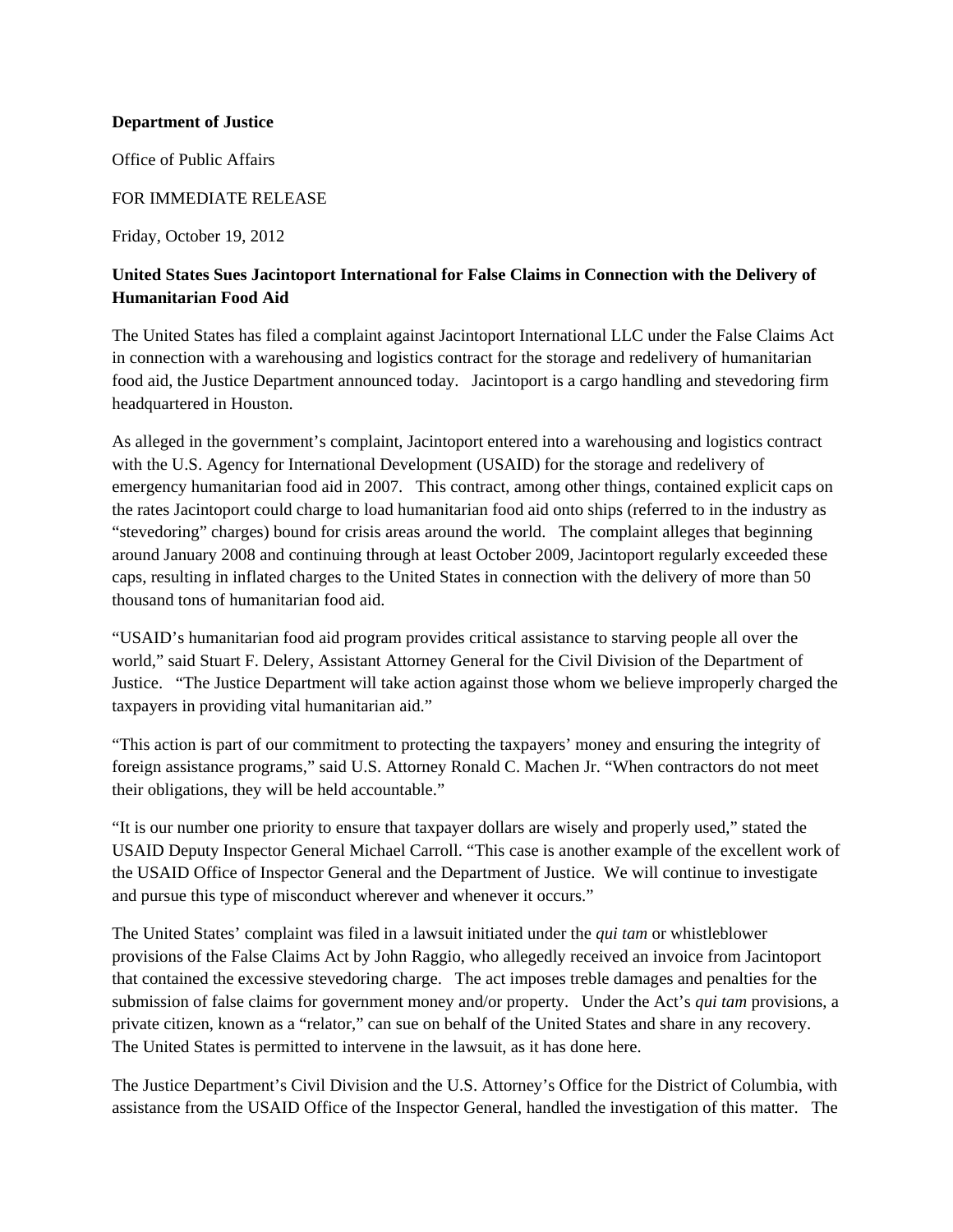## **Department of Justice**

Office of Public Affairs

## FOR IMMEDIATE RELEASE

Friday, October 19, 2012

## **United States Sues Jacintoport International for False Claims in Connection with the Delivery of Humanitarian Food Aid**

headquartered in Houston. The United States has filed a complaint against Jacintoport International LLC under the False Claims Act in connection with a warehousing and logistics contract for the storage and redelivery of humanitarian food aid, the Justice Department announced today. Jacintoport is a cargo handling and stevedoring firm

As alleged in the government's complaint, Jacintoport entered into a warehousing and logistics contract with the U.S. Agency for International Development (USAID) for the storage and redelivery of emergency humanitarian food aid in 2007. This contract, among other things, contained explicit caps on the rates Jacintoport could charge to load humanitarian food aid onto ships (referred to in the industry as "stevedoring" charges) bound for crisis areas around the world. The complaint alleges that beginning around January 2008 and continuing through at least October 2009, Jacintoport regularly exceeded these caps, resulting in inflated charges to the United States in connection with the delivery of more than 50 thousand tons of humanitarian food aid.

"USAID's humanitarian food aid program provides critical assistance to starving people all over the world," said Stuart F. Delery, Assistant Attorney General for the Civil Division of the Department of Justice. "The Justice Department will take action against those whom we believe improperly charged the taxpayers in providing vital humanitarian aid."

"This action is part of our commitment to protecting the taxpayers' money and ensuring the integrity of foreign assistance programs," said U.S. Attorney Ronald C. Machen Jr. "When contractors do not meet their obligations, they will be held accountable."

"It is our number one priority to ensure that taxpayer dollars are wisely and properly used," stated the USAID Deputy Inspector General Michael Carroll. "This case is another example of the excellent work of the USAID Office of Inspector General and the Department of Justice. We will continue to investigate and pursue this type of misconduct wherever and whenever it occurs."

The United States' complaint was filed in a lawsuit initiated under the *qui tam* or whistleblower provisions of the False Claims Act by John Raggio, who allegedly received an invoice from Jacintoport that contained the excessive stevedoring charge. The act imposes treble damages and penalties for the submission of false claims for government money and/or property. Under the Act's *qui tam* provisions, a private citizen, known as a "relator," can sue on behalf of the United States and share in any recovery. The United States is permitted to intervene in the lawsuit, as it has done here.

The Justice Department's Civil Division and the U.S. Attorney's Office for the District of Columbia, with assistance from the USAID Office of the Inspector General, handled the investigation of this matter. The